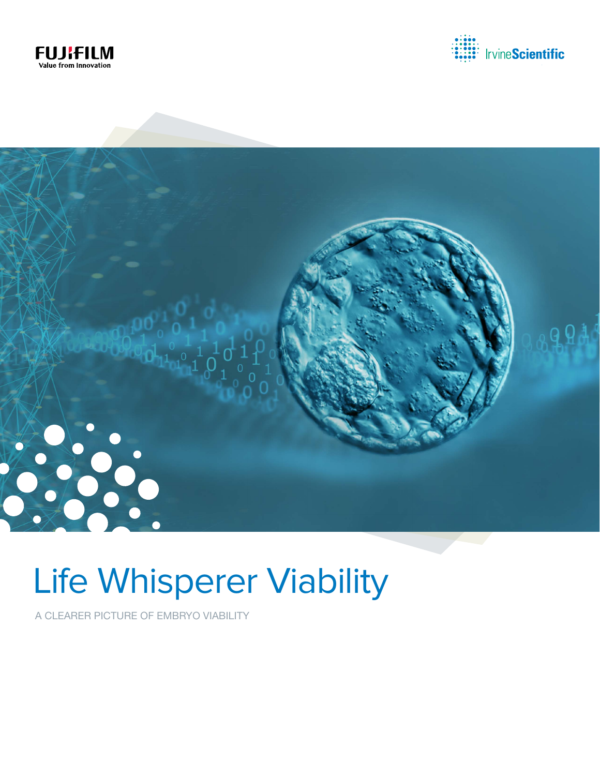





# Life Whisperer Viability

A CLEARER PICTURE OF EMBRYO VIABILITY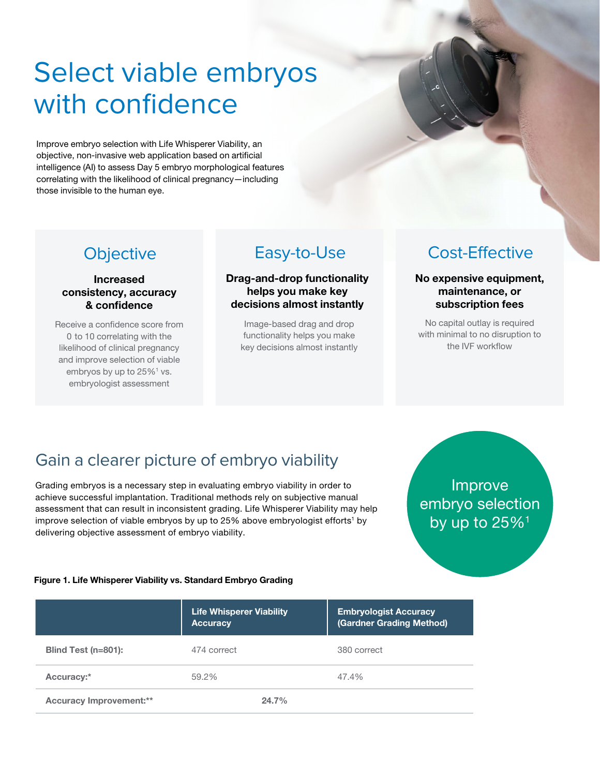## Select viable embryos with confidence

Improve embryo selection with Life Whisperer Viability, an objective, non-invasive web application based on artificial intelligence (AI) to assess Day 5 embryo morphological features correlating with the likelihood of clinical pregnancy—including those invisible to the human eye.

**Objective** 

Increased consistency, accuracy & confidence

Receive a confidence score from 0 to 10 correlating with the likelihood of clinical pregnancy and improve selection of viable embryos by up to  $25\%$ <sup>1</sup> vs. embryologist assessment

#### Drag-and-drop functionality helps you make key decisions almost instantly

Image-based drag and drop functionality helps you make key decisions almost instantly

### Easy-to-Use Cost-Effective

No expensive equipment, maintenance, or subscription fees

No capital outlay is required with minimal to no disruption to the IVF workflow

## Gain a clearer picture of embryo viability

Grading embryos is a necessary step in evaluating embryo viability in order to achieve successful implantation. Traditional methods rely on subjective manual assessment that can result in inconsistent grading. Life Whisperer Viability may help improve selection of viable embryos by up to 25% above embryologist efforts<sup>1</sup> by delivering objective assessment of embryo viability.

### Improve embryo selection by up to  $25\%$ <sup>1</sup>

#### Figure 1. Life Whisperer Viability vs. Standard Embryo Grading

|                                | <b>Life Whisperer Viability</b><br><b>Accuracy</b> | <b>Embryologist Accuracy</b><br>(Gardner Grading Method) |
|--------------------------------|----------------------------------------------------|----------------------------------------------------------|
| Blind Test (n=801):            | 474 correct                                        | 380 correct                                              |
| Accuracy:*                     | 59.2%                                              | 47.4%                                                    |
| <b>Accuracy Improvement:**</b> | 24.7%                                              |                                                          |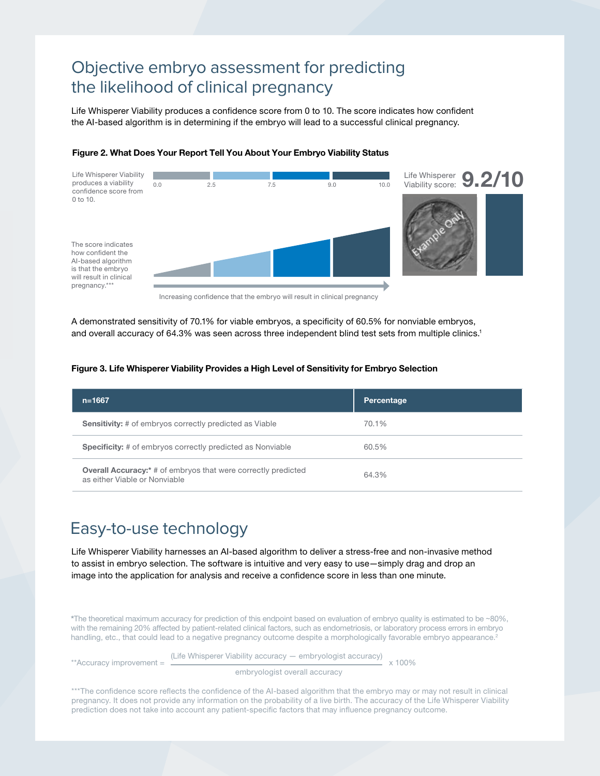### Objective embryo assessment for predicting the likelihood of clinical pregnancy

Life Whisperer Viability produces a confidence score from 0 to 10. The score indicates how confident the AI-based algorithm is in determining if the embryo will lead to a successful clinical pregnancy.



#### Figure 2. What Does Your Report Tell You About Your Embryo Viability Status

Increasing confidence that the embryo will result in clinical pregnancy

A demonstrated sensitivity of 70.1% for viable embryos, a specificity of 60.5% for nonviable embryos, and overall accuracy of 64.3% was seen across three independent blind test sets from multiple clinics.<sup>1</sup>

#### Figure 3. Life Whisperer Viability Provides a High Level of Sensitivity for Embryo Selection

| $n = 1667$                                                                                             | Percentage |
|--------------------------------------------------------------------------------------------------------|------------|
| <b>Sensitivity:</b> # of embryos correctly predicted as Viable                                         | 70.1%      |
| <b>Specificity:</b> # of embryos correctly predicted as Nonviable                                      | 60.5%      |
| <b>Overall Accuracy:</b> * # of embryos that were correctly predicted<br>as either Viable or Nonviable | 64.3%      |

### Easy-to-use technology

Life Whisperer Viability harnesses an AI-based algorithm to deliver a stress-free and non-invasive method to assist in embryo selection. The software is intuitive and very easy to use—simply drag and drop an image into the application for analysis and receive a confidence score in less than one minute.

\*The theoretical maximum accuracy for prediction of this endpoint based on evaluation of embryo quality is estimated to be ∼80%, with the remaining 20% affected by patient-related clinical factors, such as endometriosis, or laboratory process errors in embryo handling, etc., that could lead to a negative pregnancy outcome despite a morphologically favorable embryo appearance.<sup>2</sup>

\*\*Accuracy improvement  $=$  (Life Whisperer Viability accuracy — embryologist accuracy)  $\times$  100%

embryologist overall accuracy

\*\*\*The confidence score reflects the confidence of the AI-based algorithm that the embryo may or may not result in clinical pregnancy. It does not provide any information on the probability of a live birth. The accuracy of the Life Whisperer Viability prediction does not take into account any patient-specific factors that may influence pregnancy outcome.